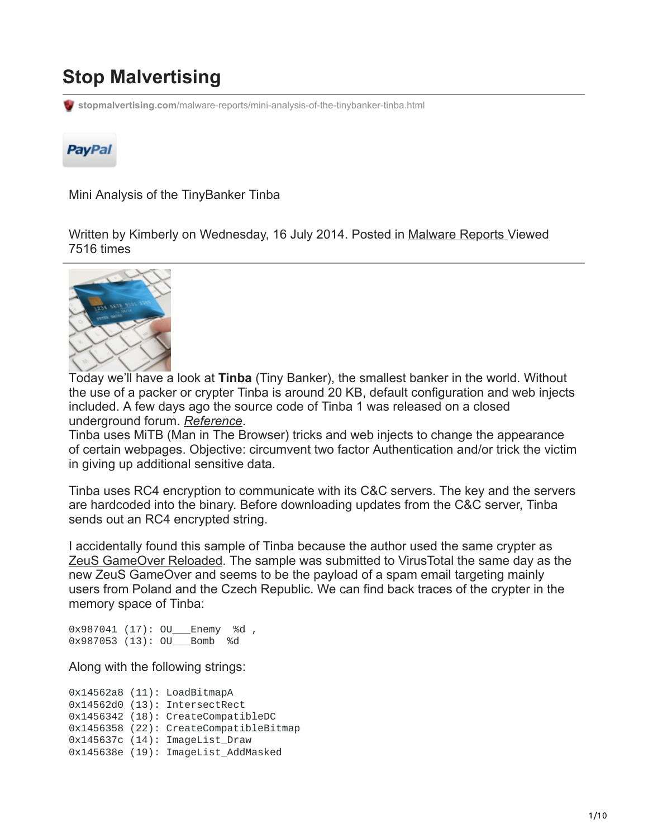# **Stop Malvertising**

**stopmalvertising.com**[/malware-reports/mini-analysis-of-the-tinybanker-tinba.html](http://stopmalvertising.com/malware-reports/mini-analysis-of-the-tinybanker-tinba.html)



Mini Analysis of the TinyBanker Tinba

Written by Kimberly on Wednesday, 16 July 2014. Posted in [Malware Reports V](https://stopmalvertising.com/malware-reports/)iewed 7516 times



Today we'll have a look at **Tinba** (Tiny Banker), the smallest banker in the world. Without the use of a packer or crypter Tinba is around 20 KB, default configuration and web injects included. A few days ago the source code of Tinba 1 was released on a closed underground forum. *[Reference](https://www.csis.dk/en/csis/news/4303)*.

Tinba uses MiTB (Man in The Browser) tricks and web injects to change the appearance of certain webpages. Objective: circumvent two factor Authentication and/or trick the victim in giving up additional sensitive data.

Tinba uses RC4 encryption to communicate with its C&C servers. The key and the servers are hardcoded into the binary. Before downloading updates from the C&C server, Tinba sends out an RC4 encrypted string.

I accidentally found this sample of Tinba because the author used the same crypter as [ZeuS GameOver Reloaded.](http://stopmalvertising.com/spam-scams/zeus-gameover-reloaded.html) The sample was submitted to VirusTotal the same day as the new ZeuS GameOver and seems to be the payload of a spam email targeting mainly users from Poland and the Czech Republic. We can find back traces of the crypter in the memory space of Tinba:

0x987041 (17): 0U Enemy %d, 0x987053 (13): OU\_\_\_Bomb %d

Along with the following strings:

0x14562a8 (11): LoadBitmapA 0x14562d0 (13): IntersectRect 0x1456342 (18): CreateCompatibleDC 0x1456358 (22): CreateCompatibleBitmap 0x145637c (14): ImageList\_Draw 0x145638e (19): ImageList\_AddMasked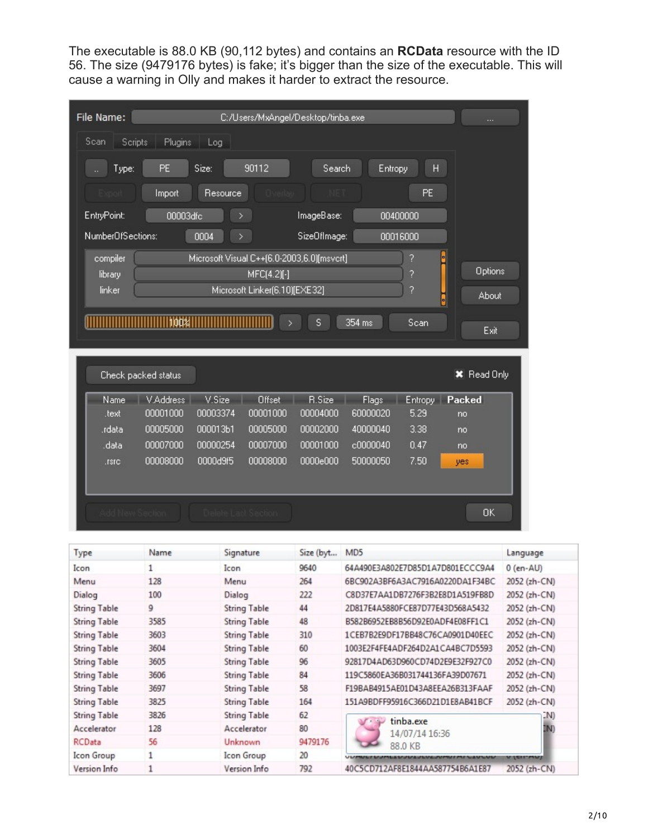The executable is 88.0 KB (90,112 bytes) and contains an **RCData** resource with the ID 56. The size (9479176 bytes) is fake; it's bigger than the size of the executable. This will cause a warning in Olly and makes it harder to extract the resource.

| File Name:          |                      |                                            | C:/Users/MxAngel/Desktop/tinba.exe |                      |                      |              |                    |        |
|---------------------|----------------------|--------------------------------------------|------------------------------------|----------------------|----------------------|--------------|--------------------|--------|
| Scan                | Scripts<br>Plugins   | Log                                        |                                    |                      |                      |              |                    |        |
| Type:               | <b>PE</b>            | Size:                                      | 90112                              | Search               | Entropy              | H            |                    |        |
|                     | Import               | Resource                                   |                                    |                      |                      | PE           |                    |        |
| EntryPoint:         | 00003dfc             |                                            | ×                                  | ImageBase:           |                      | 00400000     |                    |        |
| NumberOfSections:   |                      | 0004                                       | ×                                  | SizeOfImage:         |                      | 00016000     |                    |        |
| compiler<br>library |                      | Microsoft Visual C++(6.0-2003,6.0)[msvcrt] | MFC(4.2)[-]                        |                      |                      | ?<br>?       | <b>Options</b>     |        |
| linker              |                      |                                            | Microsoft Linker(6.10)[EXE32]      |                      |                      | ?            | About              |        |
|                     |                      |                                            |                                    |                      |                      |              | Exit               |        |
|                     | Check packed status  |                                            |                                    |                      |                      |              | <b>X</b> Read Only |        |
| Name                | V.Address            | V.Size                                     | Offset                             | R.Size               | Flags                | Entropy      | Packed             |        |
| .text               | 00001000             | 00003374                                   | 00001000                           | 00004000             | 60000020             | 5.29         | no                 |        |
| .rdata              | 00005000             | 000013b1                                   | 00005000                           | 00002000             | 40000040             | 3.38         | no                 |        |
| .data<br>.rsrc      | 00007000<br>00008000 | 00000254<br>0000d9f5                       | 00007000<br>00008000               | 00001000<br>0000e000 | c0000040<br>50000050 | 0.47<br>7.50 | no<br>yes          |        |
|                     |                      |                                            |                                    |                      |                      |              | <b>OK</b>          |        |
| Type                | Name                 |                                            | Signature                          | Size (byt            | MD <sub>5</sub>      |              |                    | Langua |

| Type                | Name | Signature           | Size (byt | MD <sub>5</sub>                  | Language        |
|---------------------|------|---------------------|-----------|----------------------------------|-----------------|
| Icon                |      | Icon                | 9640      | 64A490E3A802E7D85D1A7D801ECCC9A4 | $0$ (en-AU)     |
| Menu                | 128  | Menu                | 264       | 6BC902A3BF6A3AC7916A0220DA1F34BC | 2052 (zh-CN)    |
| Dialog              | 100  | Dialog              | 222       | C8D37E7AA1DB7276F3B2E8D1A519FB8D | 2052 (zh-CN)    |
| <b>String Table</b> | 9    | <b>String Table</b> | 44        | 2D817E4A5880FCE87D77E43D568A5432 | 2052 (zh-CN)    |
| <b>String Table</b> | 3585 | <b>String Table</b> | 48        | B582B6952EB8B56D92E0ADF4E08FF1C1 | 2052 (zh-CN)    |
| <b>String Table</b> | 3603 | <b>String Table</b> | 310       | 1CEB7B2E9DF17BB48C76CA0901D40EEC | 2052 (zh-CN)    |
| <b>String Table</b> | 3604 | <b>String Table</b> | 60        | 1003E2F4FE4ADF264D2A1CA4BC7D5593 | 2052 (zh-CN)    |
| <b>String Table</b> | 3605 | <b>String Table</b> | 96        | 92817D4AD63D960CD74D2E9E32F927C0 | 2052 (zh-CN)    |
| <b>String Table</b> | 3606 | <b>String Table</b> | 84        | 119C5860EA36B031744136FA39D07671 | 2052 (zh-CN)    |
| <b>String Table</b> | 3697 | <b>String Table</b> | 58        | F19BAB4915AE01D43A8EEA26B313FAAF | 2052 (zh-CN)    |
| <b>String Table</b> | 3825 | <b>String Table</b> | 164       | 151A9BDFF95916C366D21D1E8AB41BCF | 2052 (zh-CN)    |
| <b>String Table</b> | 3826 | <b>String Table</b> | 62        | tinba.exe                        | IN)             |
| Accelerator         | 128  | Accelerator         | 80        | 14/07/14 16:36                   |                 |
| RCData              | 56   | Unknown             | 9479176   | 88.0 KB                          |                 |
| Icon Group          |      | Icon Group          | 20        | <b>UJULJEVEJVMUIMI LIULUU</b>    | <b>VICITAVI</b> |
| Version Info        |      | Version Info        | 792       | 40C5CD712AF8E1844AA587754B6A1E87 | 2052 (zh-CN)    |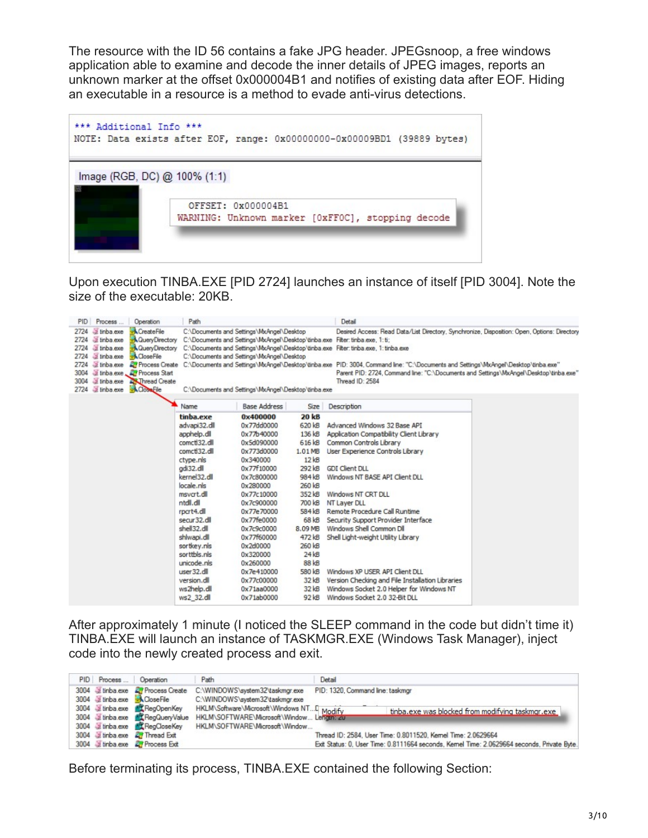The resource with the ID 56 contains a fake JPG header. JPEGsnoop, a free windows application able to examine and decode the inner details of JPEG images, reports an unknown marker at the offset 0x000004B1 and notifies of existing data after EOF. Hiding an executable in a resource is a method to evade anti-virus detections.



Upon execution TINBA.EXE [PID 2724] launches an instance of itself [PID 3004]. Note the size of the executable: 20KB.

| Process<br><b>PID</b><br>Operation                                                                                                                                                                                                                                                                                                                | Path                                                                                                                                                                                                                                                                                                                               |                                                                                                                                                                                                                                                                                                      |                                                                                                                                                                                                                         | Detail                                                                                                                                                                                                                                                                                                                                                                                                                                                                                                                                                |  |  |
|---------------------------------------------------------------------------------------------------------------------------------------------------------------------------------------------------------------------------------------------------------------------------------------------------------------------------------------------------|------------------------------------------------------------------------------------------------------------------------------------------------------------------------------------------------------------------------------------------------------------------------------------------------------------------------------------|------------------------------------------------------------------------------------------------------------------------------------------------------------------------------------------------------------------------------------------------------------------------------------------------------|-------------------------------------------------------------------------------------------------------------------------------------------------------------------------------------------------------------------------|-------------------------------------------------------------------------------------------------------------------------------------------------------------------------------------------------------------------------------------------------------------------------------------------------------------------------------------------------------------------------------------------------------------------------------------------------------------------------------------------------------------------------------------------------------|--|--|
| S tinba exe<br>CreateFile<br>2724<br><b>A</b> Query Directory<br>a tinba.exe<br>2724<br><b>A</b> QueryDirectory<br>a tinba.exe<br>2724<br>- <b>A</b> Close File<br>dinba.exe<br>2724<br>Linba.exe<br><b>A</b> Process Create<br>2724<br>Linba.exe, 27 Process Start<br>3004<br>Thread Create<br>3004<br>dinba.exe<br>2724 Linba.exe<br>Close File | C:\Documents and Settings\MxAngel\Desktop<br>C:\Documents and Settings\MxAngel\Desktop\tinba.exe Filter: tinba.exe, 1: ti;<br>C:\Documents and Settings\MxAngel\Desktop<br>C:\Documents and Settings\MxAngel\Desktop\tinba.exe                                                                                                     |                                                                                                                                                                                                                                                                                                      |                                                                                                                                                                                                                         | Desired Access: Read Data/List Directory, Synchronize, Disposition: Open, Options: Directory<br>C:\Documents and Settings\MxAngel\Desktop\tinba.exe Filter: tinba.exe, 1: tinba.exe<br>C:\Documents and Settings\MxAngel\Desktop\tinba.exe PID: 3004. Command line: "C:\Documents and Settings\MxAngel\Desktop\tinba.exe"<br>Parent PID: 2724, Command line: "C:\Documents and Settings\MxAngel\Desktop\tinba.exe"<br>Thread ID: 2584                                                                                                                 |  |  |
|                                                                                                                                                                                                                                                                                                                                                   | Name                                                                                                                                                                                                                                                                                                                               | <b>Base Address</b>                                                                                                                                                                                                                                                                                  | Size                                                                                                                                                                                                                    | Description                                                                                                                                                                                                                                                                                                                                                                                                                                                                                                                                           |  |  |
|                                                                                                                                                                                                                                                                                                                                                   | tinba.exe<br>advapi32.dll<br>apphelp.dll<br>comctl32.dll<br>comctl32.dll<br>ctype.nls<br>adi32.dll<br>kernel32.dll<br>locale, nls<br>msvcrt.dll<br>ntdll.dll<br>rpcrt4.dll<br>secur32.dll<br>shell 32.dll<br>shlwapi.dll<br>sortkey.nls<br>sorttbls.nls<br>unicode, nls<br>user 32.dll<br>version.dll<br>ws2help.dll<br>ws2 32.dll | 0x400000<br>0x77dd0000<br>0x77b40000<br>0x5d090000<br>0x773d0000<br>0x340000<br>0x77f10000<br>0x7c800000<br>0x280000<br>0x77c10000<br>0x7c900000<br>0x77e70000<br>0x77fe0000<br>0x7c9c0000<br>0x77f60000<br>0x2d0000<br>0x320000<br>0x260000<br>0x7e410000<br>0x77c00000<br>0x71aa0000<br>0x71ab0000 | <b>20 kB</b><br>620 kB<br>136 kB<br>616 kB<br>1.01 MB<br>12kB<br>292 kB<br>984 kB<br>260 kB<br>352 kB<br>700 kB<br>584 kB<br>68 kB<br>8.09 MB<br>472 kB<br>260 kB<br>24kB<br>88 kB<br>580 kB<br>32 kB<br>32 kB<br>92 kB | Advanced Windows 32 Base API<br>Application Compatibility Client Library<br>Common Controls Library<br>User Experience Controls Library<br><b>GDI Client DLL</b><br>Windows NT BASE API Client DLL<br>Windows NT CRT DLL<br>NT Laver DLL<br>Remote Procedure Call Runtime<br>Security Support Provider Interface<br>Windows Shell Common Dll<br>Shell Light-weight Utility Library<br>Windows XP USER API Client DLL<br>Version Checking and File Installation Libraries<br>Windows Socket 2.0 Helper for Windows NT<br>Windows Socket 2.0 32-Bit DLL |  |  |

After approximately 1 minute (I noticed the SLEEP command in the code but didn't time it) TINBA.EXE will launch an instance of TASKMGR.EXE (Windows Task Manager), inject code into the newly created process and exit.

| PID Process    Operation |                                         | Path                                       | Detail                                                                                     |  |
|--------------------------|-----------------------------------------|--------------------------------------------|--------------------------------------------------------------------------------------------|--|
|                          | 3004 Linba.exe <b>L'</b> Process Create | C:\WINDOWS\system32\taskmgr.exe            | PID: 1320, Command line: taskmgr                                                           |  |
|                          | 3004 Linba.exe ACoseFile                | C:\WINDOWS\system32\taskmgr.exe            |                                                                                            |  |
|                          | 3004 Linba.exe <b>R.</b> RegOpenKey     | HKLM\Software\Microsoft\Windows NTD Modify | tinba.exe was blocked from modifying taskmgr.exe                                           |  |
|                          | 3004 Linba exe EL RegQueryValue         | HKLM\SOFTWARE\Microsoft\Window Lengths zu  |                                                                                            |  |
|                          | 3004 Linba exe EL RegCloseKey           | HKLM\SOFTWARE\Microsoft\Window             |                                                                                            |  |
|                          | 3004 Linba exe <b>AT</b> Thread Exit    |                                            | Thread ID: 2584, User Time: 0.8011520, Kernel Time: 2.0629664                              |  |
|                          | 3004 Linba.exe <b>L'</b> Process Exit   |                                            | Exit Status: 0, User Time: 0.8111664 seconds, Kemel Time: 2.0629664 seconds, Private Byte. |  |

Before terminating its process, TINBA.EXE contained the following Section: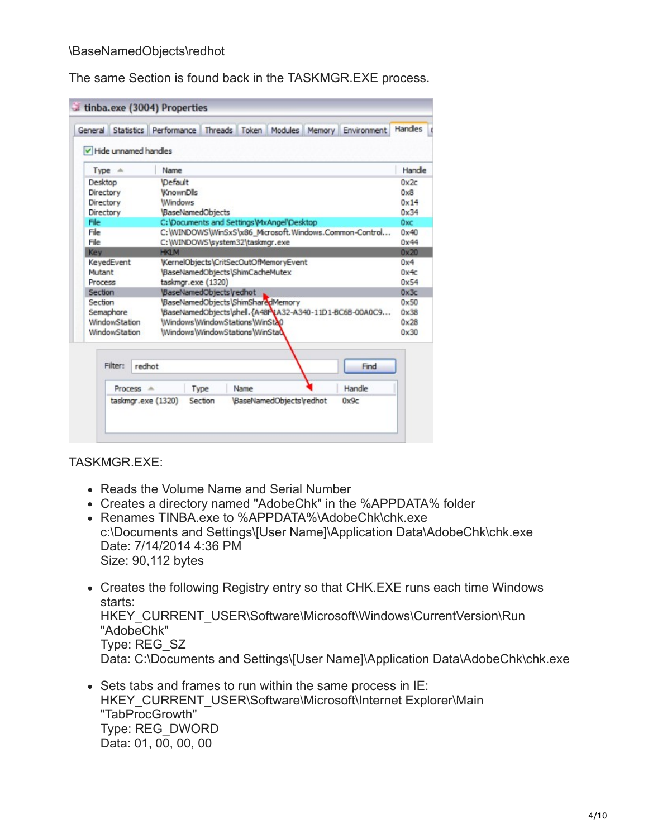The same Section is found back in the TASKMGR.EXE process.

| General |                      |        | Statistics Performance |         | Threads Token                    |                                            | Modules Memory | Environment                                             | Handles |
|---------|----------------------|--------|------------------------|---------|----------------------------------|--------------------------------------------|----------------|---------------------------------------------------------|---------|
|         | Hide unnamed handles |        |                        |         |                                  |                                            |                |                                                         |         |
|         | Type<br>$-46$        |        | Name                   |         |                                  |                                            |                |                                                         | Handle  |
|         | Desktop              |        | Default                |         |                                  |                                            |                |                                                         | 0x2c    |
|         | Directory            |        | <b>WnownDlls</b>       |         |                                  |                                            |                |                                                         | 0x8     |
|         | Directory            |        | Windows                |         |                                  |                                            |                |                                                         | 0x14    |
|         | Directory            |        | BaseNamedObjects       |         |                                  |                                            |                |                                                         | 0x34    |
| File    |                      |        |                        |         |                                  | C: \Documents and Settings\MxAngel\Desktop |                |                                                         | 0xc     |
| File    |                      |        |                        |         |                                  |                                            |                | C:\WINDOWS\WinSxS\x86_Microsoft.Windows.Common-Control  | 0x40    |
| File    |                      |        |                        |         | C:\WINDOWS\system32\taskmgr.exe  |                                            |                |                                                         | 0x44    |
| Key     |                      |        | <b>HKLM</b>            |         |                                  |                                            |                |                                                         | 0x20    |
|         | KeyedEvent           |        |                        |         |                                  | WernelObjects\CritSecOutOfMemoryEvent      |                |                                                         | 0x4     |
|         | Mutant               |        |                        |         | \BaseNamedObjects\ShimCacheMutex |                                            |                |                                                         | 0x4c    |
|         | Process              |        | taskmgr.exe (1320)     |         |                                  |                                            |                |                                                         | 0x54    |
|         | Section              |        | BaseNamedObjectsVedhot |         |                                  |                                            |                |                                                         | 0x3c    |
|         | Section              |        |                        |         |                                  | BaseNamedObjects\ShimSharedMemory          |                |                                                         | 0x50    |
|         | Semaphore            |        |                        |         |                                  |                                            |                | BaseNamedObjects\shell.{A48P\tA32-A340-11D1-BC6B-00A0C9 | 0x38    |
|         | <b>WindowStation</b> |        |                        |         | Windows\WindowStations\WinSta0   |                                            |                |                                                         | 0x28    |
|         | WindowStation        |        |                        |         | Windows WindowStations WinStad   |                                            |                |                                                         | 0x30    |
|         | Filter:              | redhot |                        |         |                                  |                                            |                | Find                                                    |         |
|         | Process              |        | $\Delta$               | Type    | Name                             |                                            |                | Handle                                                  |         |
|         |                      |        | taskmgr.exe (1320)     | Section |                                  | BaseNamedObjects\redhot                    |                | 0x9c                                                    |         |
|         |                      |        |                        |         |                                  |                                            |                |                                                         |         |

TASKMGR.EXE:

- Reads the Volume Name and Serial Number
- Creates a directory named "AdobeChk" in the %APPDATA% folder
- Renames TINBA.exe to %APPDATA%\AdobeChk\chk.exe c:\Documents and Settings\[User Name]\Application Data\AdobeChk\chk.exe Date: 7/14/2014 4:36 PM Size: 90,112 bytes
- Creates the following Registry entry so that CHK.EXE runs each time Windows starts: HKEY\_CURRENT\_USER\Software\Microsoft\Windows\CurrentVersion\Run "AdobeChk" Type: REG\_SZ Data: C:\Documents and Settings\[User Name]\Application Data\AdobeChk\chk.exe
- Sets tabs and frames to run within the same process in IE: HKEY\_CURRENT\_USER\Software\Microsoft\Internet Explorer\Main "TabProcGrowth" Type: REG\_DWORD Data: 01, 00, 00, 00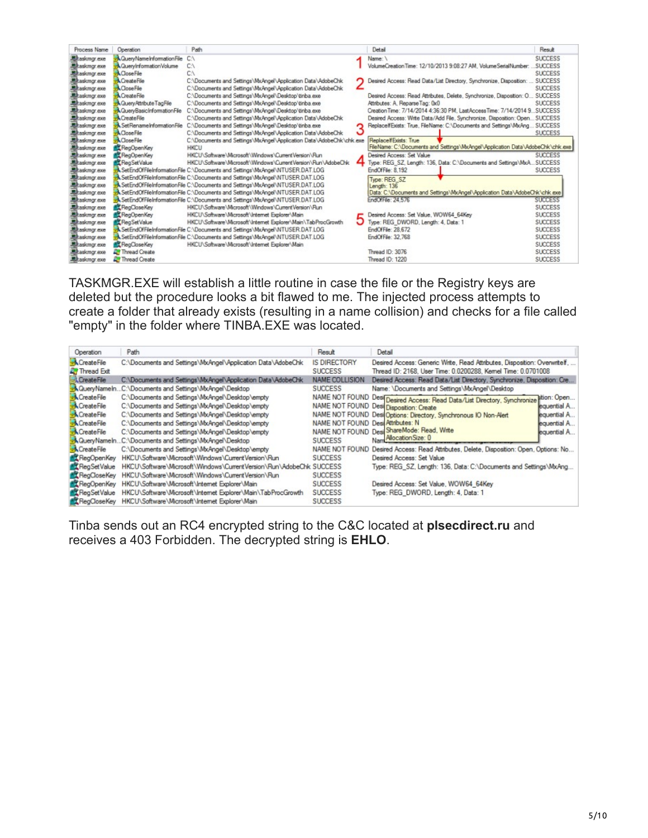| Process Name          | Operation                             | Path                                                                           |   | Detail                                                                          | Result         |
|-----------------------|---------------------------------------|--------------------------------------------------------------------------------|---|---------------------------------------------------------------------------------|----------------|
| Elhaskmgr.exe         | <b>A QueryNameInformationFile C:\</b> |                                                                                |   | Name:                                                                           | <b>SUCCESS</b> |
| Eltaskingr.exe        | & QueryInformation Volume             | C٨                                                                             |   | VolumeCreationTime: 12/10/2013 9:08:27 AM. VolumeSerialNumber:                  | <b>SUCCESS</b> |
| Eltaskmgr.exe         | <b>A</b> CloseFile                    | C١                                                                             |   |                                                                                 | <b>SUCCESS</b> |
| Eltaskmgr.exe         | CreateFile                            | C:\Documents and Settings\MxAngel\Application Data\AdobeChk                    |   | Desired Access: Read Data/List Directory, Synchronize, Disposition:             | <b>SUCCESS</b> |
| Eltaskmgr.exe         | <b>A</b> Close File                   | C:\Documents and Settings\MxAngel\Application Data\AdobeChk                    |   |                                                                                 | <b>SUCCESS</b> |
| Laskmgr.exe           | <b>A</b> CreateFile                   | C:\Documents and Settings\MxAngel\Desktop\tinba.exe                            |   | Desired Access: Read Attributes, Delete, Synchronize, Disposition: O.,, SUCCESS |                |
| <b>显</b> taskmgr.exe  | <b>A</b> Query/4thbute TagFile        | C:\Documents and Settings\MxAngel\Desktoo\tinba.exe                            |   | Attributes: A. Reparse Tag: 0x0                                                 | <b>SUCCESS</b> |
| <b>显</b> itaskmgr.exe | <b>A</b> QueryBasicInformationFile    | C:\Documents and Settings\MxAngel\Desktop\tinba.exe                            |   | Creation Time: 7/14/2014 4:36:30 PM Last Access Time: 7/14/2014 9 SUCCESS       |                |
| <b>二 taskmgr.exe</b>  | CreateFile                            | C:\Documents and Settings\MxAngel\Application Data\AdobeChk                    |   | Desired Access: Write Data/Add File, Synchronize, Disposition: Open SUCCESS     |                |
| <b>墨kaskmgr.exe</b>   | & SetRenameInformationFile            | C:\Documents and Settings\MxAngel\Desktop\tinba.exe                            | ◠ | ReplaceIfExists: True, FileName: C:\Documents and Settings\MxAng SUCCESS        |                |
| 墨kaskmgr.exe          | <b>A</b> CloseFile                    | C:\Documents and Settings\MxAngel\Application Data\AdobeChk                    |   |                                                                                 | <b>SUCCESS</b> |
| Elkaskmgr.exe         | <b>A</b> CloseFile                    | C:\Documents and Settings\MxAngel\Application Data\AdobeChk\chk.exe            |   | Replace FExists: True                                                           |                |
| Elkaskmgr.exe         | RegOpenKey                            | <b>HKCU</b>                                                                    |   | FileName: C:\Documents and Settings\MxAngel\Application Data\AdobeChk\chk.exe   |                |
| Eltaskmgr.exe         | RegOpenKey                            | HKCU\Software\Microsoft\Windows\CurrentVersion\Run                             |   | Desired Access: Set Value                                                       | <b>SUCCESS</b> |
| Eltaskmgr.exe         | RegSetValue                           | HKCU\Software\Microsoft\Windows\CurrentVersion\Run\AdobeChk                    |   | Type: REG SZ, Length: 136, Data: C:\Documents and Settings\MxASUCCESS           |                |
| Eltaskmgr.exe         |                                       | SetEndOfFileInformationFile C:\Documents and Settings\MxAngel\NTUSER.DAT.LOG   |   | EndOfFile: 8.192                                                                | <b>SUCCESS</b> |
| Etaskmgr.exe          |                                       | SetEndOfFileInformationFile C:\Documents and Settings\MxAngel\NTUSER.DAT.LOG   |   | Type: REG SZ                                                                    |                |
| exe. askmgr.exe       |                                       | SetEndOfFileInformationFile C:\Documents and Settings\MxAngel\NTUSER.DAT.LOG   |   | Length: 136                                                                     |                |
| <b>图haskmgr.exe</b>   |                                       | SetEndOfFileInformationFile C:\Documents and Settings\MxAngel\NTUSER.DAT.LOG   |   | Data: C:\Documents and Settings\MxAngel\Application Data\AdobeChk\chk.exe       |                |
| <b>显kaskmgr.exe</b>   |                                       | A.SetEndOfFileInformationFile C:\Documents and Settings\MxAngel\NTUSER.DAT.LOG |   | EndOfFile: 24.576                                                               | <b>SUCCESS</b> |
| 显kaskmgr.exe          | <b>RegCloseKey</b>                    | HKCU\Saftware\Microsoft\Windows\CurrentVersion\Run                             |   |                                                                                 | <b>SUCCESS</b> |
| 墨kaskmgr.exe          | RegOpenKey                            | HKCU\Software\Microsoft\Internet Explorer\Main                                 |   | Desired Access: Set Value, WOW64 64Key                                          | <b>SUCCESS</b> |
| <b>Maskingrexe</b>    | RegSetValue                           | HKCU\Software\Microsoft\Internet Explorer\Main\TabProcGrowth                   |   | Type: REG DWORD, Length: 4, Data: 1                                             | <b>SUCCESS</b> |
| 黑kaskmgr.exe          |                                       | SetEndOfFileInformationFile C:\Documents and Settings\MxAngel\NTUSER.DAT.LOG   |   | EndOfFile: 28.672                                                               | <b>SUCCESS</b> |
| askmgr.exe            |                                       | A.SetEndOfFileInformationFile C:\Documents and Settings\MxAngel\NTUSER.DAT.LOG |   | EndOfFile: 32.768                                                               | <b>SUCCESS</b> |
| Eltaskmgr.exe         | <b>RE</b> ReaCloseKey                 | HKCU\Software\Microsoft\Internet Explorer\Main                                 |   |                                                                                 | <b>SUCCESS</b> |
| Eltaskmgr.exe         | <b>R</b> Thread Create                |                                                                                |   | Thread ID: 3076                                                                 | <b>SUCCESS</b> |
| askmgr.exe            | <b>Thread Create</b>                  |                                                                                |   | Thread ID: 1220                                                                 | <b>SUCCESS</b> |

TASKMGR.EXE will establish a little routine in case the file or the Registry keys are deleted but the procedure looks a bit flawed to me. The injected process attempts to create a folder that already exists (resulting in a name collision) and checks for a file called "empty" in the folder where TINBA.EXE was located.

| Operation                          | Path                                                                | Result                                | Detail                                                                                                                                     |              |
|------------------------------------|---------------------------------------------------------------------|---------------------------------------|--------------------------------------------------------------------------------------------------------------------------------------------|--------------|
| CreateFile<br><b>A</b> Thread Exit | C:\Documents and Settings\MxAngel\Application Data\AdobeChk         | <b>IS DIRECTORY</b><br><b>SUCCESS</b> | Desired Access: Generic Write, Read Attributes, Disposition: Overwritelf,<br>Thread ID: 2168, User Time: 0.0200288, Kernel Time: 0.0701008 |              |
| <sup>2</sup> CreateFile            | C:\Documents and Settings\MxAngel\Application Data\AdobeChk         | NAME COLLISION                        | Desired Access: Read Data/List Directory, Synchronize, Disposition: Cre                                                                    |              |
| - Cuery Name In.                   | C:\Documents and Settings\MxAngel\Desktop                           | <b>SUCCESS</b>                        | Name: \Documents and Settings\MxAngel\Desktop                                                                                              |              |
| -A CreateFile                      | C:\Documents and Settings\MxAngel\Desktop\empty                     |                                       | NAME NOT FOUND Desi Desired Access: Read Data/List Directory, Synchronize tion: Open                                                       |              |
| - <b>A</b> CreateFile              | C:\Documents and Settings\MxAngel\Desktop\empty                     |                                       | NAME NOT FOUND Desi Disposition: Create                                                                                                    | equential A  |
| -& CreateFile                      | C:\Documents and Settings\MxAngel\Desktop\empty                     |                                       | NAME NOT FOUND Desi Options: Directory, Synchronous IO Non-Alert                                                                           | equential A. |
| <b>CreateFile</b>                  | C:\Documents and Settings\MxAngel\Desktop\empty                     | NAME NOT FOUND Desi Attributes: N     |                                                                                                                                            | equential A. |
| -A CreateFile                      | C:\Documents and Settings\MxAngel\Desktop\empty                     |                                       | NAME NOT FOUND Desi ShareMode: Read, Write                                                                                                 | lequential A |
|                                    | A QueryNameInC:\Documents and Settings\MxAngel\Desktop              | <b>SUCCESS</b>                        | Nam Allocation Size: 0                                                                                                                     |              |
| CreateFile                         | C:\Documents and Settings\MxAngel\Desktop\empty                     | NAME NOT FOUND                        | Desired Access: Read Attributes, Delete, Disposition: Open, Options: No                                                                    |              |
| <b>R</b> RegOpenKey                | HKCU\Software\Microsoft\Windows\CurrentVersion\Run                  | <b>SUCCESS</b>                        | Desired Access: Set Value                                                                                                                  |              |
| <b>ALT</b> ReaSet Value            | HKCU\Software\Microsoft\Windows\CurrentVersion\Run\AdobeChk SUCCESS |                                       | Type: REG SZ, Length: 136, Data: C:\Documents and Settings\MxAng                                                                           |              |
| <b>RT</b> RegCloseKey              | HKCU\Software\Microsoft\Windows\CurrentVersion\Run                  | <b>SUCCESS</b>                        |                                                                                                                                            |              |
| <b>AT</b> RegOpenKey               | HKCU\Software\Microsoft\Internet Explorer\Main                      | <b>SUCCESS</b>                        | Desired Access: Set Value, WOW64 64Key                                                                                                     |              |
| <b>ALT</b> ReaSet Value            | HKCU\Software\Microsoft\Internet Explorer\Main\TabProcGrowth        | <b>SUCCESS</b>                        | Type: REG DWORD, Length: 4, Data: 1                                                                                                        |              |
| <b>AT RegCloseKey</b>              | HKCU\Software\Microsoft\Internet Explorer\Main                      | <b>SUCCESS</b>                        |                                                                                                                                            |              |

Tinba sends out an RC4 encrypted string to the C&C located at **plsecdirect.ru** and receives a 403 Forbidden. The decrypted string is **EHLO**.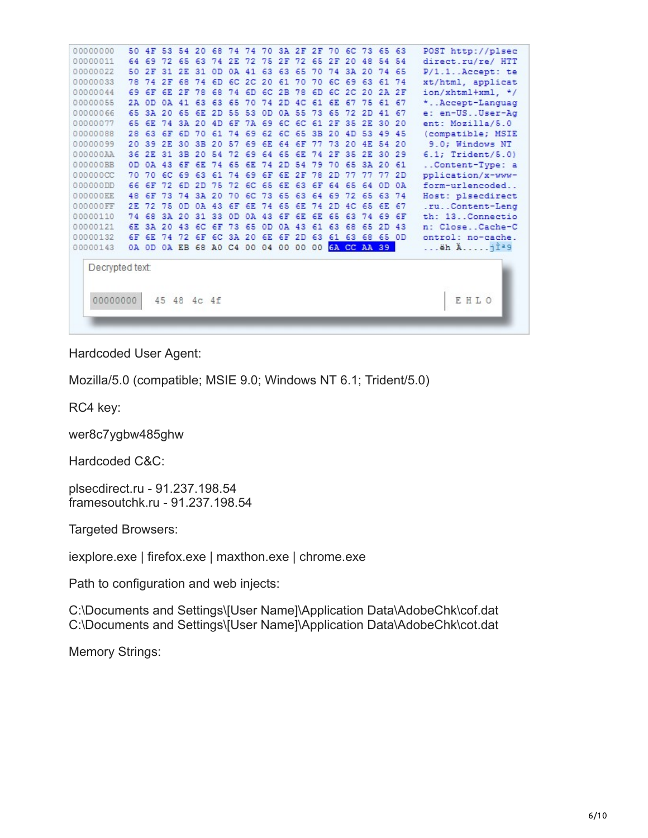| 00000000                    |     | 50 4F    | 53             |          |       |                            |    |          |       | 54 20 68 74 74 70 3A 2F 2F 70 6C 73 65 63                    |    |                |       |             |          |          |       | POST http://plsec       |
|-----------------------------|-----|----------|----------------|----------|-------|----------------------------|----|----------|-------|--------------------------------------------------------------|----|----------------|-------|-------------|----------|----------|-------|-------------------------|
| 00000011                    | 64  |          | 69 72          |          | 65 63 | 74 2E                      |    |          | 72 75 | 2F 72                                                        |    |                | 65 2F | 20          | 48       |          | 54 54 | direct.ru/re/ HTT       |
| 00000022                    |     |          |                |          |       | 50 2F 31 2E 31 0D          |    |          |       | 0A 41 63 63 65                                               |    |                |       | 70 74 3A 20 |          | 74 65    |       | $P/1.1$ . Accept: te    |
| 00000033                    | 78  | 74       | 2F             | 68       | 74    | 6D                         |    | 6C 2C 20 |       | 61                                                           | 70 | 70             | 6C    | 69 63       |          |          | 61 74 | xt/html, applicat       |
| 00000044                    | 69. |          | 6F 6E          | 2F       | 78    | 68                         | 74 |          |       | 6D 6C 2B 78                                                  |    | 6 <sub>D</sub> |       | 6C 2C 20    |          |          | 2A 2F | ion/xhtml+xml. */       |
| 00000055                    |     | 2A OD    |                | 0A 41 63 |       | 63 65                      |    |          |       | 70 74 2D 4C 61 6E                                            |    |                |       | 67          |          | 75 61 67 |       | * Accept-Languag        |
| 00000066                    |     |          |                |          |       | 65 3A 20 65 6E 2D 55 53 0D |    |          |       | 0A 55                                                        |    | 73 65          |       | -72         | 2D       |          | 41 67 | e: en-USUser-Ag         |
| 00000077                    |     |          |                |          |       |                            |    |          |       | 65 6E 74 3A 20 4D 6F 7A 69 6C 6C 61 2F 35 2E                 |    |                |       |             |          | 30 20    |       | ent: Mozilla/5.0        |
| 00000088                    | 28  |          | 63 6F 6D 70    |          |       |                            |    |          |       | 61 74 69 62 6C 65 3B 20 4D 53                                |    |                |       |             |          |          | 49 45 | (compatible; MSIE       |
| 00000099                    |     |          | 20 39 2E 30 3B |          |       |                            |    |          |       | 20 57 69 6E 64 6F                                            |    | 77 73          |       | 20          | 4E       | 54 20    |       | 9.0; Windows NT         |
| 000000AA                    |     |          |                |          |       |                            |    |          |       | 36 2E 31 3B 20 54 72 69 64 65 6E 74 2F 35 2E 30 29           |    |                |       |             |          |          |       | $6.1;$ Trident/ $5.0$ ) |
| 000000BB                    |     |          | OD 0A 43 6F    |          |       |                            |    |          |       | 6E 74 65 6E 74 2D 54 79 70                                   |    |                |       | 65 3A 20 61 |          |          |       | Content-Type: a         |
| 000000CC                    |     |          |                |          |       |                            |    |          |       | 70 70 6C 69 63 61 74 69 6F 6E 2F 78 2D                       |    |                |       | 77          | 77 77 2D |          |       | pplication/x-www-       |
| 000000DD                    |     | 66 6F    |                |          |       |                            |    |          |       | 72 6D 2D 75 72 6C 65 6E 63 6F                                |    |                |       | 64 65 64    |          |          | OD OA | form-urlencoded         |
| 000000EE                    | 48  | 6F       | 73             |          |       | 74 3A 20                   | 70 |          |       | 6C 73 65 63 64 69 72 65 63 74                                |    |                |       |             |          |          |       | Host: plsecdirect       |
| 000000FF                    |     | 2E 72 75 |                | OD       |       |                            |    |          |       | 0A 43 6F 6E 74 65 6E 74 2D 4C 65 6E 67                       |    |                |       |             |          |          |       | .ruContent-Leng         |
| 00000110                    |     | 74 68    |                |          |       | 3A 20 31 33 0D             |    | 0A 43    |       | 6F                                                           | 6E | 6E             | 65    | 63          | 74       |          | 69 6F | th: 13. Connectio       |
| 00000121                    |     | 6E 3A 20 |                |          |       | 43 6C 6F 73                |    | 65       | OD.   | 0A 43                                                        |    | 61             | 63    | 68 65       |          | 2D       | 43    | n: CloseCache-C         |
| 00000132                    |     |          |                |          |       |                            |    |          |       | 6F 6E 74 72 6F 6C 3A 20 6E 6F 2D 63 61 63 68 65 OD           |    |                |       |             |          |          |       | ontrol: no-cache.       |
| 00000143                    |     |          |                |          |       |                            |    |          |       | 0A OD 0A EB 68 AO C4 00 04 00 00 00 <mark>6A CC AA 39</mark> |    |                |       |             |          |          |       | ëh Aji <sup>29</sup>    |
| Decrypted text:<br>00000000 |     |          | 45 48          |          | 4c.4f |                            |    |          |       |                                                              |    |                |       |             |          |          |       | E H L O                 |
|                             |     |          |                |          |       |                            |    |          |       |                                                              |    |                |       |             |          |          |       |                         |

Hardcoded User Agent:

Mozilla/5.0 (compatible; MSIE 9.0; Windows NT 6.1; Trident/5.0)

RC4 key:

wer8c7ygbw485ghw

Hardcoded C&C:

plsecdirect.ru - 91.237.198.54 framesoutchk.ru - 91.237.198.54

Targeted Browsers:

iexplore.exe | firefox.exe | maxthon.exe | chrome.exe

Path to configuration and web injects:

C:\Documents and Settings\[User Name]\Application Data\AdobeChk\cof.dat C:\Documents and Settings\[User Name]\Application Data\AdobeChk\cot.dat

Memory Strings: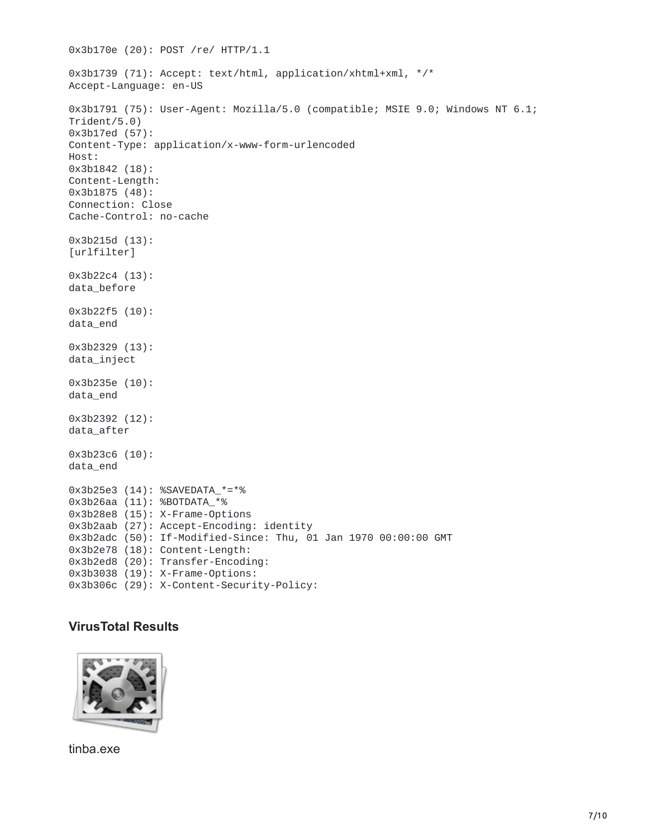```
0x3b170e (20): POST /re/ HTTP/1.1
0x3b1739 (71): Accept: text/html, application/xhtml+xml, */*
Accept-Language: en-US
0x3b1791 (75): User-Agent: Mozilla/5.0 (compatible; MSIE 9.0; Windows NT 6.1;
Trident/5.0)
0x3b17ed (57):
Content-Type: application/x-www-form-urlencoded
Host:
0x3b1842 (18):
Content-Length:
0x3b1875 (48):
Connection: Close
Cache-Control: no-cache
0x3b215d (13):
[urlfilter]
0x3b22c4 (13):
data_before
0x3b22f5 (10):
data_end
0x3b2329 (13):
data_inject
0x3b235e (10):
data_end
0x3b2392 (12):
data_after
0x3b23c6 (10):
data_end
0x3b25e3 (14): %SAVEDATA_*=*%
0x3b26aa (11): %BOTDATA_*%
0x3b28e8 (15): X-Frame-Options
0x3b2aab (27): Accept-Encoding: identity
0x3b2adc (50): If-Modified-Since: Thu, 01 Jan 1970 00:00:00 GMT
0x3b2e78 (18): Content-Length:
0x3b2ed8 (20): Transfer-Encoding:
0x3b3038 (19): X-Frame-Options:
0x3b306c (29): X-Content-Security-Policy:
```
### **VirusTotal Results**



tinba.exe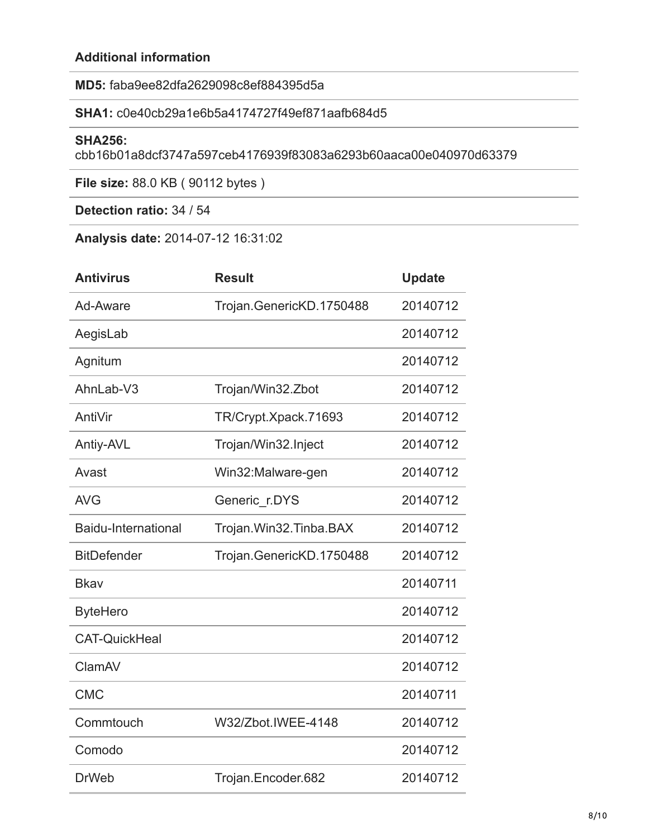## **Additional information**

**MD5:** faba9ee82dfa2629098c8ef884395d5a

## **SHA1:** c0e40cb29a1e6b5a4174727f49ef871aafb684d5

#### **SHA256:**

cbb16b01a8dcf3747a597ceb4176939f83083a6293b60aaca00e040970d63379

**File size:** 88.0 KB ( 90112 bytes )

**Detection ratio:** 34 / 54

**Analysis date:** 2014-07-12 16:31:02

| <b>Antivirus</b>     | <b>Result</b>            | <b>Update</b> |
|----------------------|--------------------------|---------------|
| Ad-Aware             | Trojan.GenericKD.1750488 | 20140712      |
| AegisLab             |                          | 20140712      |
| Agnitum              |                          | 20140712      |
| AhnLab-V3            | Trojan/Win32.Zbot        | 20140712      |
| AntiVir              | TR/Crypt.Xpack.71693     | 20140712      |
| Antiy-AVL            | Trojan/Win32.Inject      | 20140712      |
| Avast                | Win32:Malware-gen        | 20140712      |
| <b>AVG</b>           | Generic r.DYS            | 20140712      |
| Baidu-International  | Trojan.Win32.Tinba.BAX   | 20140712      |
| <b>BitDefender</b>   | Trojan.GenericKD.1750488 | 20140712      |
| <b>Bkav</b>          |                          | 20140711      |
| <b>ByteHero</b>      |                          | 20140712      |
| <b>CAT-QuickHeal</b> |                          | 20140712      |
| ClamAV               |                          | 20140712      |
| <b>CMC</b>           |                          | 20140711      |
| Commtouch            | W32/Zbot.IWEE-4148       | 20140712      |
| Comodo               |                          | 20140712      |
| <b>DrWeb</b>         | Trojan.Encoder.682       | 20140712      |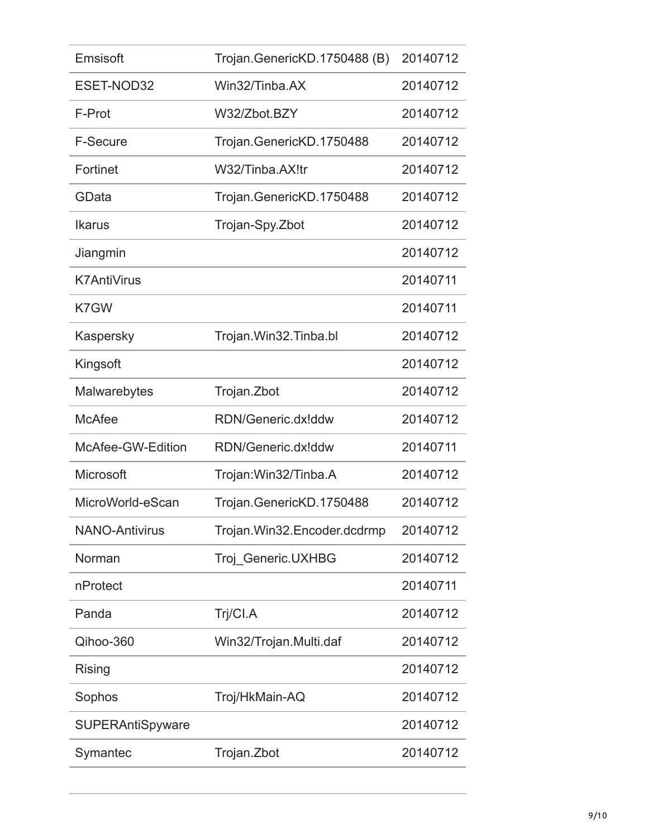| Emsisoft                | Trojan.GenericKD.1750488 (B) | 20140712 |
|-------------------------|------------------------------|----------|
| ESET-NOD32              | Win32/Tinba.AX               | 20140712 |
| F-Prot                  | W32/Zbot.BZY                 | 20140712 |
| <b>F-Secure</b>         | Trojan.GenericKD.1750488     | 20140712 |
| Fortinet                | W32/Tinba.AX!tr              | 20140712 |
| GData                   | Trojan.GenericKD.1750488     | 20140712 |
| <b>Ikarus</b>           | Trojan-Spy.Zbot              | 20140712 |
| Jiangmin                |                              | 20140712 |
| <b>K7AntiVirus</b>      |                              | 20140711 |
| K7GW                    |                              | 20140711 |
| Kaspersky               | Trojan. Win32. Tinba.bl      | 20140712 |
| Kingsoft                |                              | 20140712 |
| Malwarebytes            | Trojan. Zbot                 | 20140712 |
| <b>McAfee</b>           | RDN/Generic.dx!ddw           | 20140712 |
| McAfee-GW-Edition       | RDN/Generic.dx!ddw           | 20140711 |
| Microsoft               | Trojan: Win32/Tinba.A        | 20140712 |
| MicroWorld-eScan        | Trojan.GenericKD.1750488     | 20140712 |
| <b>NANO-Antivirus</b>   | Trojan.Win32.Encoder.dcdrmp  | 20140712 |
| Norman                  | Troj_Generic.UXHBG           | 20140712 |
| nProtect                |                              | 20140711 |
| Panda                   | Trj/CI.A                     | 20140712 |
| Qihoo-360               | Win32/Trojan.Multi.daf       | 20140712 |
| Rising                  |                              | 20140712 |
| Sophos                  | Troj/HkMain-AQ               | 20140712 |
| <b>SUPERAntiSpyware</b> |                              | 20140712 |
| Symantec                | Trojan.Zbot                  | 20140712 |